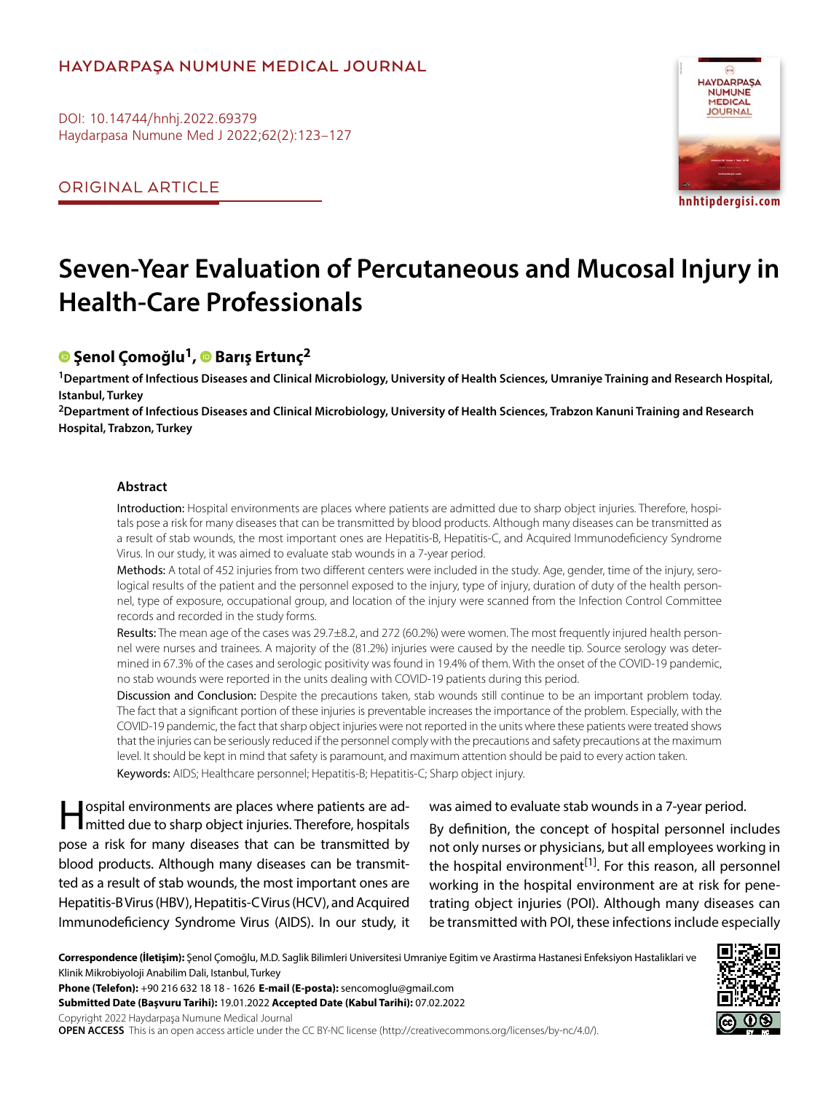# **HAYDARPAŞA NUMUNE MEDICAL JOURNAL**

DOI: 10.14744/hnhj.2022.69379 Haydarpasa Numune Med J 2022;62(2):123–127

ORIGINAL ARTICLE



# **Seven-Year Evaluation of Percutaneous and Mucosal Injury in Health-Care Professionals**

# **Şenol Çomoğlu1,Barış Ertunç2**

**1Department of Infectious Diseases and Clinical Microbiology, University of Health Sciences, Umraniye Training and Research Hospital, Istanbul, Turkey**

**2Department of Infectious Diseases and Clinical Microbiology, University of Health Sciences, Trabzon Kanuni Training and Research Hospital, Trabzon, Turkey**

#### **Abstract**

Introduction: Hospital environments are places where patients are admitted due to sharp object injuries. Therefore, hospitals pose a risk for many diseases that can be transmitted by blood products. Although many diseases can be transmitted as a result of stab wounds, the most important ones are Hepatitis-B, Hepatitis-C, and Acquired Immunodeficiency Syndrome Virus. In our study, it was aimed to evaluate stab wounds in a 7-year period.

Methods: A total of 452 injuries from two different centers were included in the study. Age, gender, time of the injury, serological results of the patient and the personnel exposed to the injury, type of injury, duration of duty of the health personnel, type of exposure, occupational group, and location of the injury were scanned from the Infection Control Committee records and recorded in the study forms.

Results: The mean age of the cases was 29.7±8.2, and 272 (60.2%) were women. The most frequently injured health personnel were nurses and trainees. A majority of the (81.2%) injuries were caused by the needle tip. Source serology was determined in 67.3% of the cases and serologic positivity was found in 19.4% of them. With the onset of the COVID-19 pandemic, no stab wounds were reported in the units dealing with COVID-19 patients during this period.

Discussion and Conclusion: Despite the precautions taken, stab wounds still continue to be an important problem today. The fact that a significant portion of these injuries is preventable increases the importance of the problem. Especially, with the COVID-19 pandemic, the fact that sharp object injuries were not reported in the units where these patients were treated shows that the injuries can be seriously reduced if the personnel comply with the precautions and safety precautions at the maximum level. It should be kept in mind that safety is paramount, and maximum attention should be paid to every action taken. Keywords: AIDS; Healthcare personnel; Hepatitis-B; Hepatitis-C; Sharp object injury.

Hospital environments are places where patients are ad-mitted due to sharp object injuries. Therefore, hospitals pose a risk for many diseases that can be transmitted by blood products. Although many diseases can be transmitted as a result of stab wounds, the most important ones are Hepatitis-B Virus (HBV), Hepatitis-C Virus (HCV), and Acquired Immunodeficiency Syndrome Virus (AIDS). In our study, it

#### was aimed to evaluate stab wounds in a 7-year period.

By definition, the concept of hospital personnel includes not only nurses or physicians, but all employees working in the hospital environment<sup>[1]</sup>. For this reason, all personnel working in the hospital environment are at risk for penetrating object injuries (POI). Although many diseases can be transmitted with POI, these infections include especially

**Correspondence (İletişim):** Şenol Çomoğlu, M.D. Saglik Bilimleri Universitesi Umraniye Egitim ve Arastirma Hastanesi Enfeksiyon Hastaliklari ve Klinik Mikrobiyoloji Anabilim Dali, Istanbul, Turkey

**Phone (Telefon):** +90 216 632 18 18 - 1626 **E-mail (E-posta):** sencomoglu@gmail.com **Submitted Date (Başvuru Tarihi):** 19.01.2022 **Accepted Date (Kabul Tarihi):** 07.02.2022

Copyright 2022 Haydarpaşa Numune Medical Journal **OPEN ACCESS** This is an open access article under the CC BY-NC license (http://creativecommons.org/licenses/by-nc/4.0/).

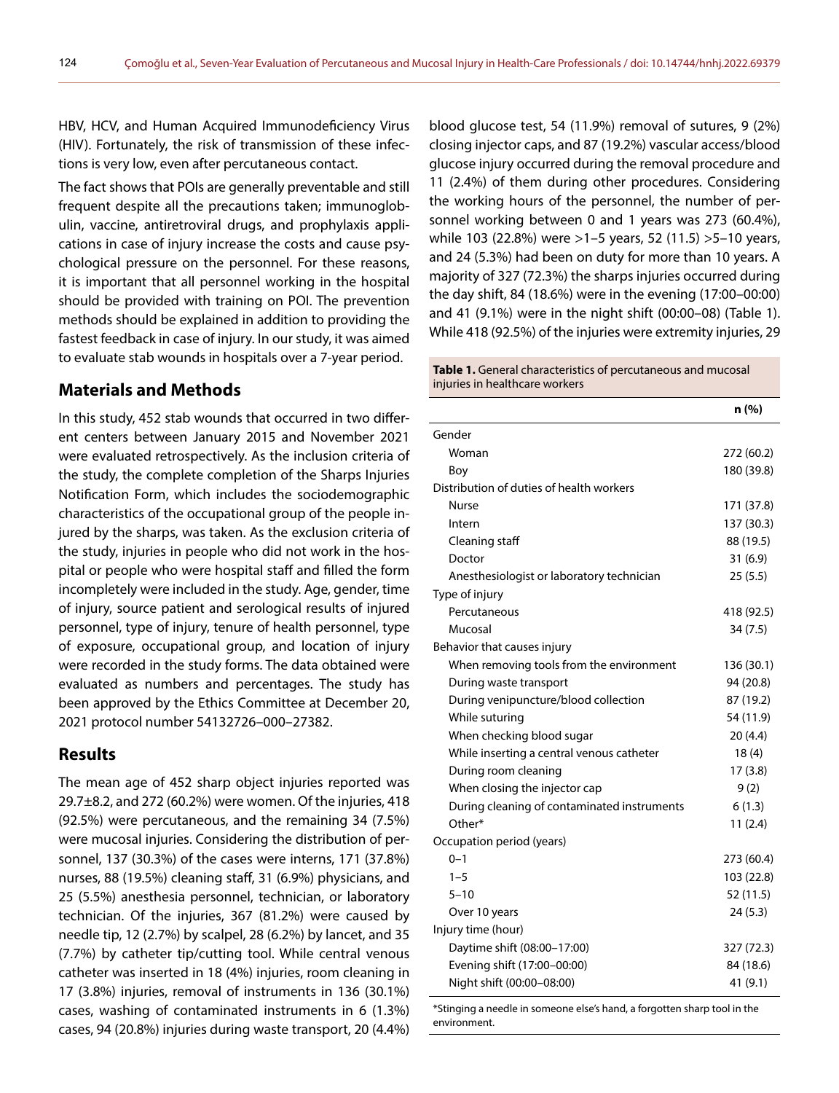HBV, HCV, and Human Acquired Immunodeficiency Virus (HIV). Fortunately, the risk of transmission of these infections is very low, even after percutaneous contact.

The fact shows that POIs are generally preventable and still frequent despite all the precautions taken; immunoglobulin, vaccine, antiretroviral drugs, and prophylaxis applications in case of injury increase the costs and cause psychological pressure on the personnel. For these reasons, it is important that all personnel working in the hospital should be provided with training on POI. The prevention methods should be explained in addition to providing the fastest feedback in case of injury. In our study, it was aimed to evaluate stab wounds in hospitals over a 7-year period.

### **Materials and Methods**

In this study, 452 stab wounds that occurred in two different centers between January 2015 and November 2021 were evaluated retrospectively. As the inclusion criteria of the study, the complete completion of the Sharps Injuries Notification Form, which includes the sociodemographic characteristics of the occupational group of the people injured by the sharps, was taken. As the exclusion criteria of the study, injuries in people who did not work in the hospital or people who were hospital staff and filled the form incompletely were included in the study. Age, gender, time of injury, source patient and serological results of injured personnel, type of injury, tenure of health personnel, type of exposure, occupational group, and location of injury were recorded in the study forms. The data obtained were evaluated as numbers and percentages. The study has been approved by the Ethics Committee at December 20, 2021 protocol number 54132726–000–27382.

#### **Results**

The mean age of 452 sharp object injuries reported was 29.7±8.2, and 272 (60.2%) were women. Of the injuries, 418 (92.5%) were percutaneous, and the remaining 34 (7.5%) were mucosal injuries. Considering the distribution of personnel, 137 (30.3%) of the cases were interns, 171 (37.8%) nurses, 88 (19.5%) cleaning staff, 31 (6.9%) physicians, and 25 (5.5%) anesthesia personnel, technician, or laboratory technician. Of the injuries, 367 (81.2%) were caused by needle tip, 12 (2.7%) by scalpel, 28 (6.2%) by lancet, and 35 (7.7%) by catheter tip/cutting tool. While central venous catheter was inserted in 18 (4%) injuries, room cleaning in 17 (3.8%) injuries, removal of instruments in 136 (30.1%) cases, washing of contaminated instruments in 6 (1.3%) cases, 94 (20.8%) injuries during waste transport, 20 (4.4%) blood glucose test, 54 (11.9%) removal of sutures, 9 (2%) closing injector caps, and 87 (19.2%) vascular access/blood glucose injury occurred during the removal procedure and 11 (2.4%) of them during other procedures. Considering the working hours of the personnel, the number of personnel working between 0 and 1 years was 273 (60.4%), while 103 (22.8%) were >1–5 years, 52 (11.5) >5–10 years, and 24 (5.3%) had been on duty for more than 10 years. A majority of 327 (72.3%) the sharps injuries occurred during the day shift, 84 (18.6%) were in the evening (17:00–00:00) and 41 (9.1%) were in the night shift (00:00–08) (Table 1). While 418 (92.5%) of the injuries were extremity injuries, 29

#### **Table 1.** General characteristics of percutaneous and mucosal injuries in healthcare workers

|                                             | n (%)      |
|---------------------------------------------|------------|
| Gender                                      |            |
| Woman                                       | 272 (60.2) |
| Bov                                         | 180 (39.8) |
| Distribution of duties of health workers    |            |
| Nurse                                       | 171 (37.8) |
| Intern                                      | 137 (30.3) |
| Cleaning staff                              | 88 (19.5)  |
| Doctor                                      | 31(6.9)    |
| Anesthesiologist or laboratory technician   | 25(5.5)    |
| Type of injury                              |            |
| Percutaneous                                | 418 (92.5) |
| Mucosal                                     | 34(7.5)    |
| Behavior that causes injury                 |            |
| When removing tools from the environment    | 136 (30.1) |
| During waste transport                      | 94 (20.8)  |
| During venipuncture/blood collection        | 87 (19.2)  |
| While suturing                              | 54 (11.9)  |
| When checking blood sugar                   | 20(4.4)    |
| While inserting a central venous catheter   | 18(4)      |
| During room cleaning                        | 17(3.8)    |
| When closing the injector cap               | 9(2)       |
| During cleaning of contaminated instruments | 6(1.3)     |
| Other*                                      | 11(2.4)    |
| Occupation period (years)                   |            |
| $0 - 1$                                     | 273 (60.4) |
| $1 - 5$                                     | 103 (22.8) |
| $5 - 10$                                    | 52(11.5)   |
| Over 10 years                               | 24(5.3)    |
| Injury time (hour)                          |            |
| Daytime shift (08:00-17:00)                 | 327 (72.3) |
| Evening shift (17:00-00:00)                 | 84 (18.6)  |
| Night shift (00:00-08:00)                   | 41 (9.1)   |

\*Stinging a needle in someone else's hand, a forgotten sharp tool in the environment.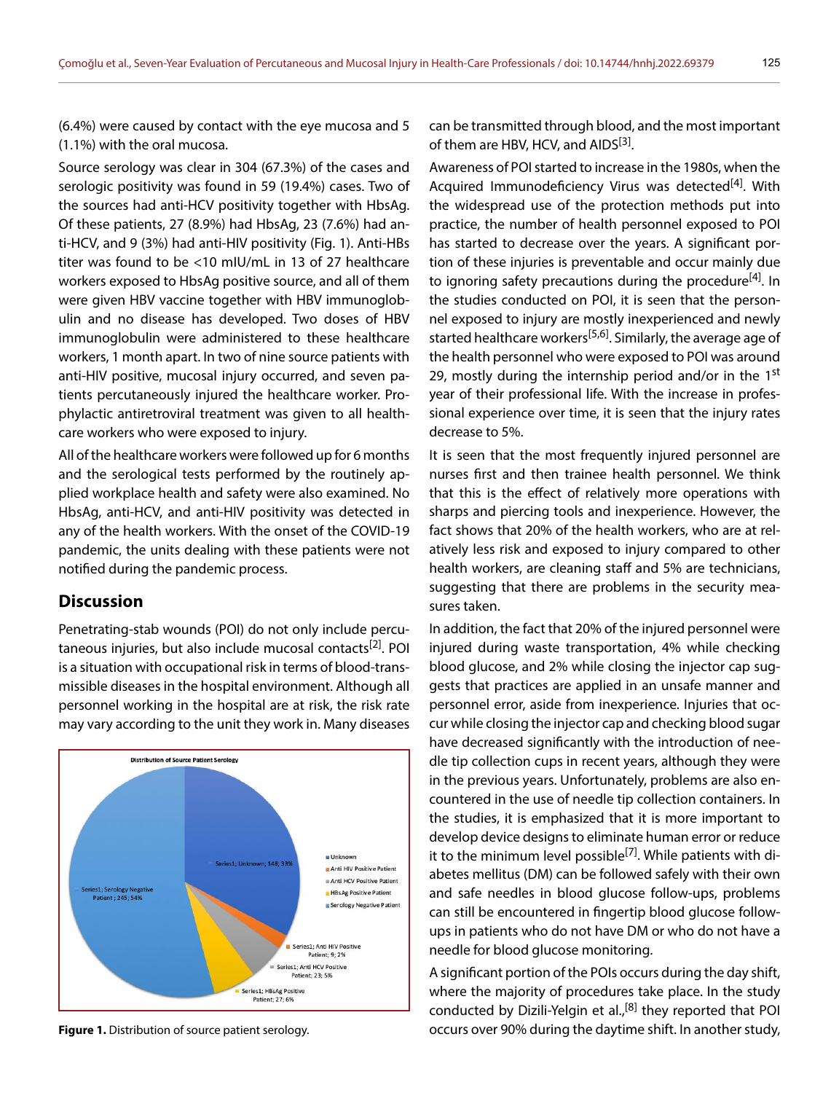(6.4%) were caused by contact with the eye mucosa and 5 (1.1%) with the oral mucosa.

Source serology was clear in 304 (67.3%) of the cases and serologic positivity was found in 59 (19.4%) cases. Two of the sources had anti-HCV positivity together with HbsAg. Of these patients, 27 (8.9%) had HbsAg, 23 (7.6%) had anti-HCV, and 9 (3%) had anti-HIV positivity (Fig. 1). Anti-HBs titer was found to be <10 mIU/mL in 13 of 27 healthcare workers exposed to HbsAg positive source, and all of them were given HBV vaccine together with HBV immunoglobulin and no disease has developed. Two doses of HBV immunoglobulin were administered to these healthcare workers, 1 month apart. In two of nine source patients with anti-HIV positive, mucosal injury occurred, and seven patients percutaneously injured the healthcare worker. Prophylactic antiretroviral treatment was given to all healthcare workers who were exposed to injury.

All of the healthcare workers were followed up for 6 months and the serological tests performed by the routinely applied workplace health and safety were also examined. No HbsAg, anti-HCV, and anti-HIV positivity was detected in any of the health workers. With the onset of the COVID-19 pandemic, the units dealing with these patients were not notified during the pandemic process.

#### **Discussion**

Penetrating-stab wounds (POI) do not only include percutaneous injuries, but also include mucosal contacts<sup>[2]</sup>. POI is a situation with occupational risk in terms of blood-transmissible diseases in the hospital environment. Although all personnel working in the hospital are at risk, the risk rate may vary according to the unit they work in. Many diseases



can be transmitted through blood, and the most important of them are HBV, HCV, and AIDS<sup>[3]</sup>.

Awareness of POI started to increase in the 1980s, when the Acquired Immunodeficiency Virus was detected $[4]$ . With the widespread use of the protection methods put into practice, the number of health personnel exposed to POI has started to decrease over the years. A significant portion of these injuries is preventable and occur mainly due to ignoring safety precautions during the procedure<sup>[4]</sup>. In the studies conducted on POI, it is seen that the personnel exposed to injury are mostly inexperienced and newly started healthcare workers<sup>[5,6]</sup>. Similarly, the average age of the health personnel who were exposed to POI was around 29, mostly during the internship period and/or in the  $1<sup>st</sup>$ year of their professional life. With the increase in professional experience over time, it is seen that the injury rates decrease to 5%.

It is seen that the most frequently injured personnel are nurses first and then trainee health personnel. We think that this is the effect of relatively more operations with sharps and piercing tools and inexperience. However, the fact shows that 20% of the health workers, who are at relatively less risk and exposed to injury compared to other health workers, are cleaning staff and 5% are technicians, suggesting that there are problems in the security measures taken.

In addition, the fact that 20% of the injured personnel were injured during waste transportation, 4% while checking blood glucose, and 2% while closing the injector cap suggests that practices are applied in an unsafe manner and personnel error, aside from inexperience. Injuries that occur while closing the injector cap and checking blood sugar have decreased significantly with the introduction of needle tip collection cups in recent years, although they were in the previous years. Unfortunately, problems are also encountered in the use of needle tip collection containers. In the studies, it is emphasized that it is more important to develop device designs to eliminate human error or reduce it to the minimum level possible<sup>[7]</sup>. While patients with diabetes mellitus (DM) can be followed safely with their own and safe needles in blood glucose follow-ups, problems can still be encountered in fingertip blood glucose followups in patients who do not have DM or who do not have a needle for blood glucose monitoring.

A significant portion of the POIs occurs during the day shift, where the majority of procedures take place. In the study conducted by Dizili-Yelgin et al.,<sup>[8]</sup> they reported that POI **Figure 1.** Distribution of source patient serology. The same occurs over 90% during the daytime shift. In another study,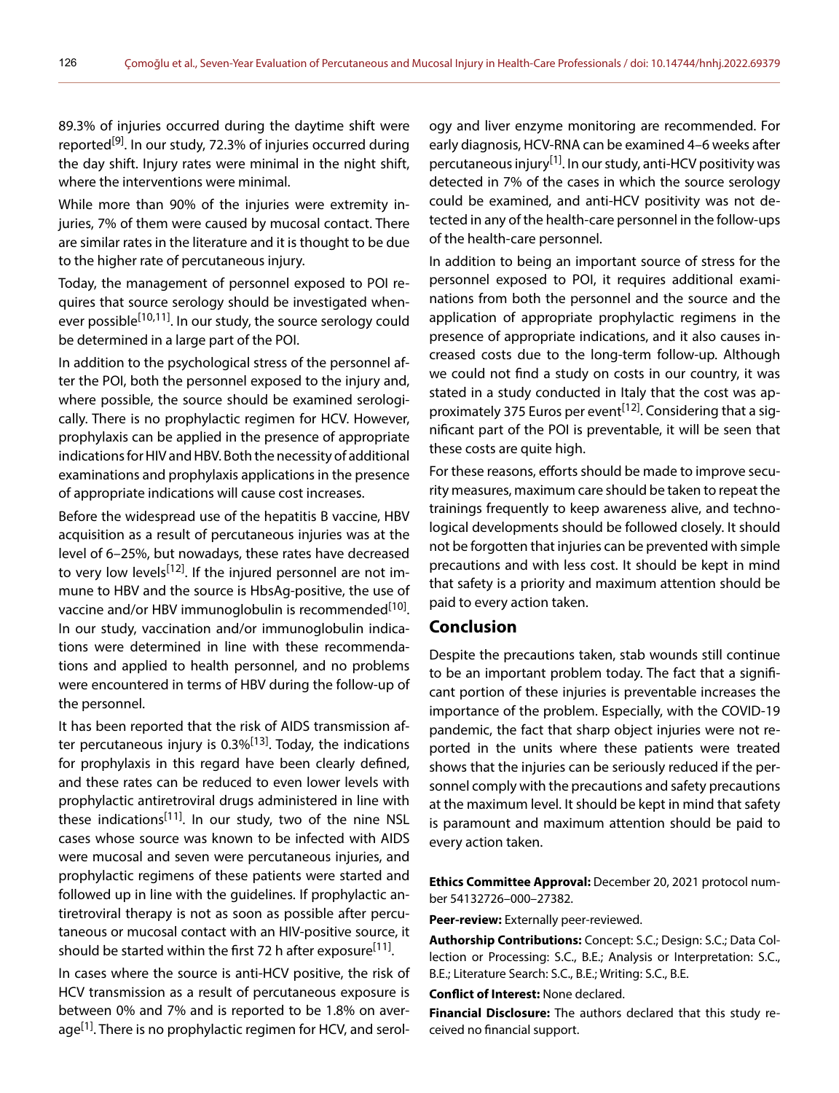89.3% of injuries occurred during the daytime shift were reported<sup>[9]</sup>. In our study, 72.3% of injuries occurred during the day shift. Injury rates were minimal in the night shift, where the interventions were minimal.

While more than 90% of the injuries were extremity injuries, 7% of them were caused by mucosal contact. There are similar rates in the literature and it is thought to be due to the higher rate of percutaneous injury.

Today, the management of personnel exposed to POI requires that source serology should be investigated whenever possible<sup>[10,11]</sup>. In our study, the source serology could be determined in a large part of the POI.

In addition to the psychological stress of the personnel after the POI, both the personnel exposed to the injury and, where possible, the source should be examined serologically. There is no prophylactic regimen for HCV. However, prophylaxis can be applied in the presence of appropriate indications for HIV and HBV. Both the necessity of additional examinations and prophylaxis applications in the presence of appropriate indications will cause cost increases.

Before the widespread use of the hepatitis B vaccine, HBV acquisition as a result of percutaneous injuries was at the level of 6–25%, but nowadays, these rates have decreased to very low levels<sup>[12]</sup>. If the injured personnel are not immune to HBV and the source is HbsAg-positive, the use of vaccine and/or HBV immunoglobulin is recommended<sup>[10]</sup>. In our study, vaccination and/or immunoglobulin indications were determined in line with these recommendations and applied to health personnel, and no problems were encountered in terms of HBV during the follow-up of the personnel.

It has been reported that the risk of AIDS transmission after percutaneous injury is  $0.3\%$ <sup>[13]</sup>. Today, the indications for prophylaxis in this regard have been clearly defined, and these rates can be reduced to even lower levels with prophylactic antiretroviral drugs administered in line with these indications<sup>[11]</sup>. In our study, two of the nine NSL cases whose source was known to be infected with AIDS were mucosal and seven were percutaneous injuries, and prophylactic regimens of these patients were started and followed up in line with the guidelines. If prophylactic antiretroviral therapy is not as soon as possible after percutaneous or mucosal contact with an HIV-positive source, it should be started within the first 72 h after exposure<sup>[11]</sup>.

In cases where the source is anti-HCV positive, the risk of HCV transmission as a result of percutaneous exposure is between 0% and 7% and is reported to be 1.8% on average<sup>[1]</sup>. There is no prophylactic regimen for HCV, and serol-

ogy and liver enzyme monitoring are recommended. For early diagnosis, HCV-RNA can be examined 4–6 weeks after percutaneous injury<sup>[1]</sup>. In our study, anti-HCV positivity was detected in 7% of the cases in which the source serology could be examined, and anti-HCV positivity was not detected in any of the health-care personnel in the follow-ups of the health-care personnel.

In addition to being an important source of stress for the personnel exposed to POI, it requires additional examinations from both the personnel and the source and the application of appropriate prophylactic regimens in the presence of appropriate indications, and it also causes increased costs due to the long-term follow-up. Although we could not find a study on costs in our country, it was stated in a study conducted in Italy that the cost was approximately 375 Euros per event<sup>[12]</sup>. Considering that a significant part of the POI is preventable, it will be seen that these costs are quite high.

For these reasons, efforts should be made to improve security measures, maximum care should be taken to repeat the trainings frequently to keep awareness alive, and technological developments should be followed closely. It should not be forgotten that injuries can be prevented with simple precautions and with less cost. It should be kept in mind that safety is a priority and maximum attention should be paid to every action taken.

## **Conclusion**

Despite the precautions taken, stab wounds still continue to be an important problem today. The fact that a significant portion of these injuries is preventable increases the importance of the problem. Especially, with the COVID-19 pandemic, the fact that sharp object injuries were not reported in the units where these patients were treated shows that the injuries can be seriously reduced if the personnel comply with the precautions and safety precautions at the maximum level. It should be kept in mind that safety is paramount and maximum attention should be paid to every action taken.

**Ethics Committee Approval:** December 20, 2021 protocol number 54132726–000–27382.

**Peer-review:** Externally peer-reviewed.

**Authorship Contributions:** Concept: S.C.; Design: S.C.; Data Collection or Processing: S.C., B.E.; Analysis or Interpretation: S.C., B.E.; Literature Search: S.C., B.E.; Writing: S.C., B.E.

**Conflict of Interest:** None declared.

**Financial Disclosure:** The authors declared that this study received no financial support.